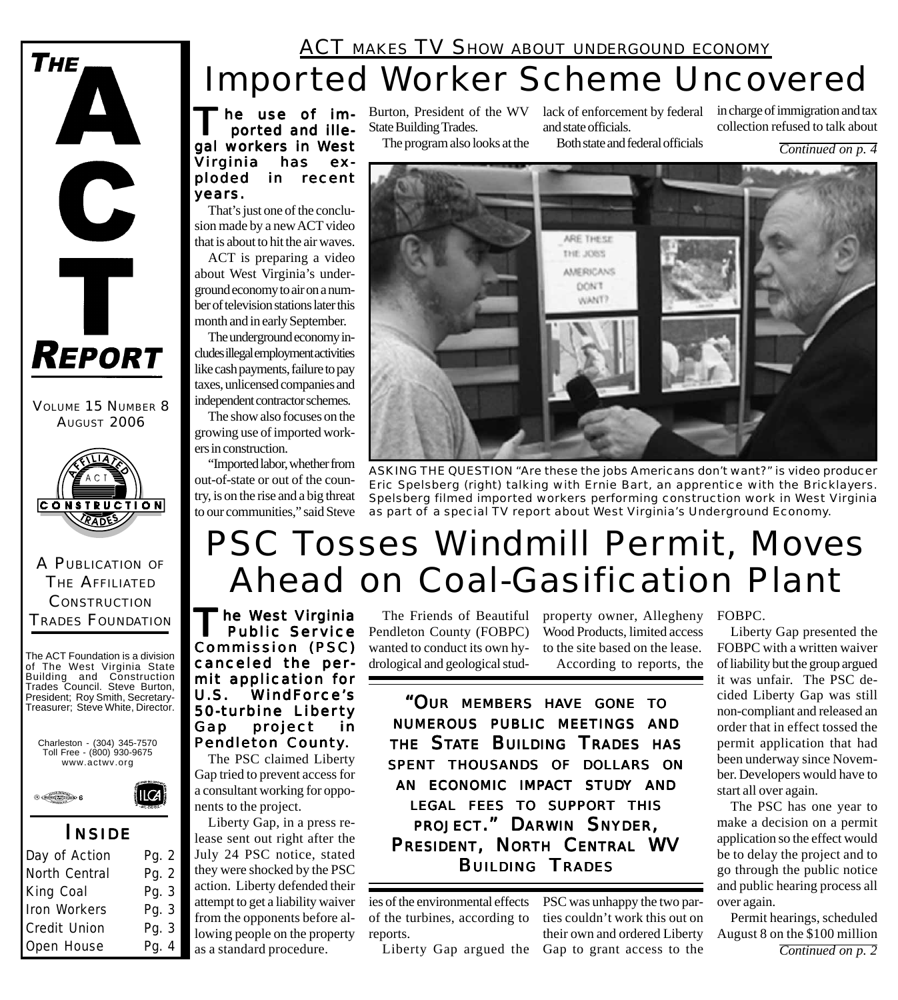# **THE**  $\mathbf C$ Ť **REPORT**

VOLUME 15 NUMBER 8 AUGUST 2006



### A PUBLICATION OF THE AFFILIATED **CONSTRUCTION** TRADES FOUNDATION

The ACT Foundation is a division of The West Virginia State Building and Construction Trades Council. Steve Burton, President; Roy Smith, Secretary-Treasurer; Steve White, Director.





# *I NSIDE*

| Day of Action | Pg. 2 |
|---------------|-------|
| North Central | Pg. 2 |
| King Coal     | Pg. 3 |
| Iron Workers  | Pg. 3 |
| Credit Union  | Pg. 3 |
| Open House    | Pg. 4 |

# **ACT MAKES TV SHOW ABOUT UNDERGOUND ECONOMY** Imported Worker Scheme Uncovered

he use of imported and illegal workers in West Virginia has exploded in recent years.

That's just one of the conclusion made by a new ACT video that is about to hit the air waves.

ACT is preparing a video about West Virginia's underground economy to air on a number of television stations later this month and in early September.

The underground economy includes illegal employment activities like cash payments, failure to pay taxes, unlicensed companies and independent contractor schemes.

The show also focuses on the growing use of imported workers in construction.

"Imported labor, whether from out-of-state or out of the country, is on the rise and a big threat to our communities," said Steve

State Building Trades.

The program also looks at the

Burton, President of the WV lack of enforcement by federal in charge of immigration and tax and state officials.

Both state and federal officials collection refused to talk about

*Continued on p. 4*



*ASKING THE QUESTION "Are these the jobs Americans don't want?" is video producer Eric Spelsberg (right) talking with Ernie Bart, an apprentice with the Bricklayers. Spelsberg filmed imported workers performing construction work in West Virginia as part of a special TV report about West Virginia's Underground Economy.*

# PSC Tosses Windmill Permit, Moves Ahead on Coal-Gasification Plant

The West Virginia Public Ser vice Commission (PSC) canceled the permit application for U.S. WindForce's 50-turbine Liber ty Gap project in Pendleton County.

The PSC claimed Liberty Gap tried to prevent access for a consultant working for opponents to the project.

Liberty Gap, in a press release sent out right after the July 24 PSC notice, stated they were shocked by the PSC action. Liberty defended their attempt to get a liability waiver from the opponents before allowing people on the property as a standard procedure.

The Friends of Beautiful Pendleton County (FOBPC) wanted to conduct its own hydrological and geological stud-

property owner, Allegheny FOBPC. Wood Products, limited access to the site based on the lease. According to reports, the

*"OUR MEMBERS HAVE GONE TO NUMEROUS PUBLIC MEETINGS AND THE STATE BUILDING TRADES HAS SPENT THOUSANDS OF DOLLARS ON AN ECONOMIC IMPACT STUDY AND LEGAL FEES TO SUPPORT THIS PROJECT." DARWIN SNYDER, PRESIDENT, NORTH CENTRAL WV BUILDING TRADES*

of the turbines, according to reports.

Liberty Gap argued the Gap to grant access to the

ies of the environmental effects PSC was unhappy the two parties couldn't work this out on their own and ordered Liberty

Liberty Gap presented the FOBPC with a written waiver of liability but the group argued it was unfair. The PSC decided Liberty Gap was still non-compliant and released an order that in effect tossed the permit application that had been underway since November. Developers would have to start all over again.

The PSC has one year to make a decision on a permit application so the effect would be to delay the project and to go through the public notice and public hearing process all over again.

*Continued on p. 2* Permit hearings, scheduled August 8 on the \$100 million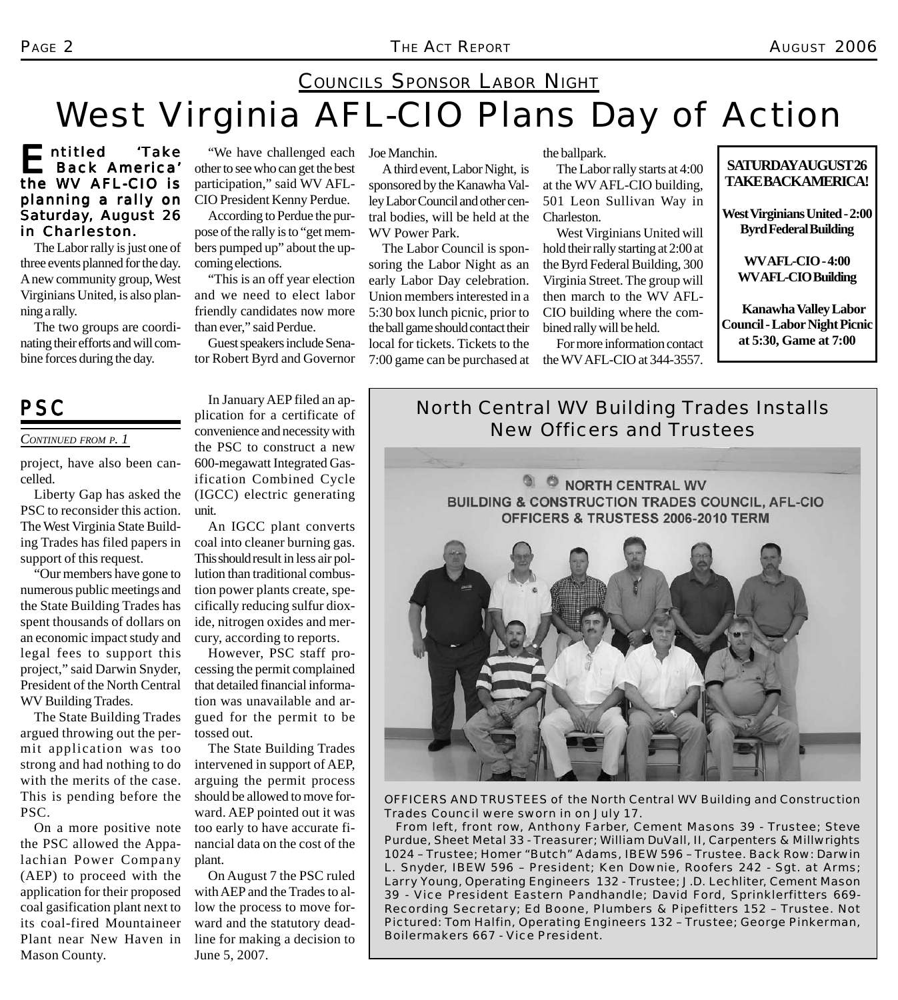# COUNCILS SPONSOR LABOR NIGHT West Virginia AFL-CIO Plans Day of Action

## Entitled 'Take the WV AFL-CIO is planning a rally on Saturday, August 26 in Charleston.

The Labor rally is just one of three events planned for the day. A new community group, West Virginians United, is also planning a rally.

The two groups are coordinating their efforts and will combine forces during the day.

"We have challenged each other to see who can get the best participation," said WV AFL-CIO President Kenny Perdue.

According to Perdue the purpose of the rally is to "get members pumped up" about the upcoming elections.

"This is an off year election and we need to elect labor friendly candidates now more than ever," said Perdue.

Guest speakers include Senator Robert Byrd and Governor

Joe Manchin.

A third event, Labor Night, is sponsored by the Kanawha Valley Labor Council and other central bodies, will be held at the WV Power Park.

The Labor Council is sponsoring the Labor Night as an early Labor Day celebration. Union members interested in a 5:30 box lunch picnic, prior to the ball game should contact their local for tickets. Tickets to the 7:00 game can be purchased at the ballpark.

The Labor rally starts at 4:00 at the WV AFL-CIO building, 501 Leon Sullivan Way in Charleston.

West Virginians United will hold their rally starting at 2:00 at the Byrd Federal Building, 300 Virginia Street. The group will then march to the WV AFL-CIO building where the combined rally will be held.

For more information contact the WV AFL-CIO at 344-3557.

### **SATURDAY AUGUST 26 TAKE BACK AMERICA!**

**West Virginians United - 2:00 Byrd Federal Building**

**WV AFL-CIO - 4:00 WV AFL-CIO Building**

**Kanawha Valley Labor Council - Labor Night Picnic at 5:30, Game at 7:00**

### *CONTINUED FROM P. 1*

project, have also been cancelled.

Liberty Gap has asked the PSC to reconsider this action. The West Virginia State Building Trades has filed papers in support of this request.

"Our members have gone to numerous public meetings and the State Building Trades has spent thousands of dollars on an economic impact study and legal fees to support this project," said Darwin Snyder, President of the North Central WV Building Trades.

The State Building Trades argued throwing out the permit application was too strong and had nothing to do with the merits of the case. This is pending before the PSC.

On a more positive note the PSC allowed the Appalachian Power Company (AEP) to proceed with the application for their proposed coal gasification plant next to its coal-fired Mountaineer Plant near New Haven in Mason County.

In January AEP filed an application for a certificate of convenience and necessity with the PSC to construct a new 600-megawatt Integrated Gasification Combined Cycle (IGCC) electric generating unit.

An IGCC plant converts coal into cleaner burning gas. This should result in less air pollution than traditional combustion power plants create, specifically reducing sulfur dioxide, nitrogen oxides and mercury, according to reports.

However, PSC staff processing the permit complained that detailed financial information was unavailable and argued for the permit to be tossed out.

The State Building Trades intervened in support of AEP, arguing the permit process should be allowed to move forward. AEP pointed out it was too early to have accurate financial data on the cost of the plant.

On August 7 the PSC ruled with AEP and the Trades to allow the process to move forward and the statutory deadline for making a decision to June 5, 2007.

**PSC** *In January AEP Ined an ap- North Central WV Building Trades Installs New Officers and Trustees*



*OFFICERS AND TRUSTEES of the North Central WV Building and Construction Trades Council were sworn in on July 17.*

*From left, front row, Anthony Farber, Cement Masons 39 - Trustee; Steve Purdue, Sheet Metal 33 - Treasurer; William DuVall, II, Carpenters & Millwrights 1024 – Trustee; Homer "Butch" Adams, IBEW 596 – Trustee. Back Row: Darwin L. Snyder, IBEW 596 – President; Ken Downie, Roofers 242 - Sgt. at Arms; Larry Young, Operating Engineers 132 - Trustee; J.D. Lechliter, Cement Mason 39 - Vice President Eastern Pandhandle; David Ford, Sprinklerfitters 669- Recording Secretary; Ed Boone, Plumbers & Pipefitters 152 – Trustee. Not Pictured: Tom Halfin, Operating Engineers 132 – Trustee; George Pinkerman, Boilermakers 667 - Vice President.*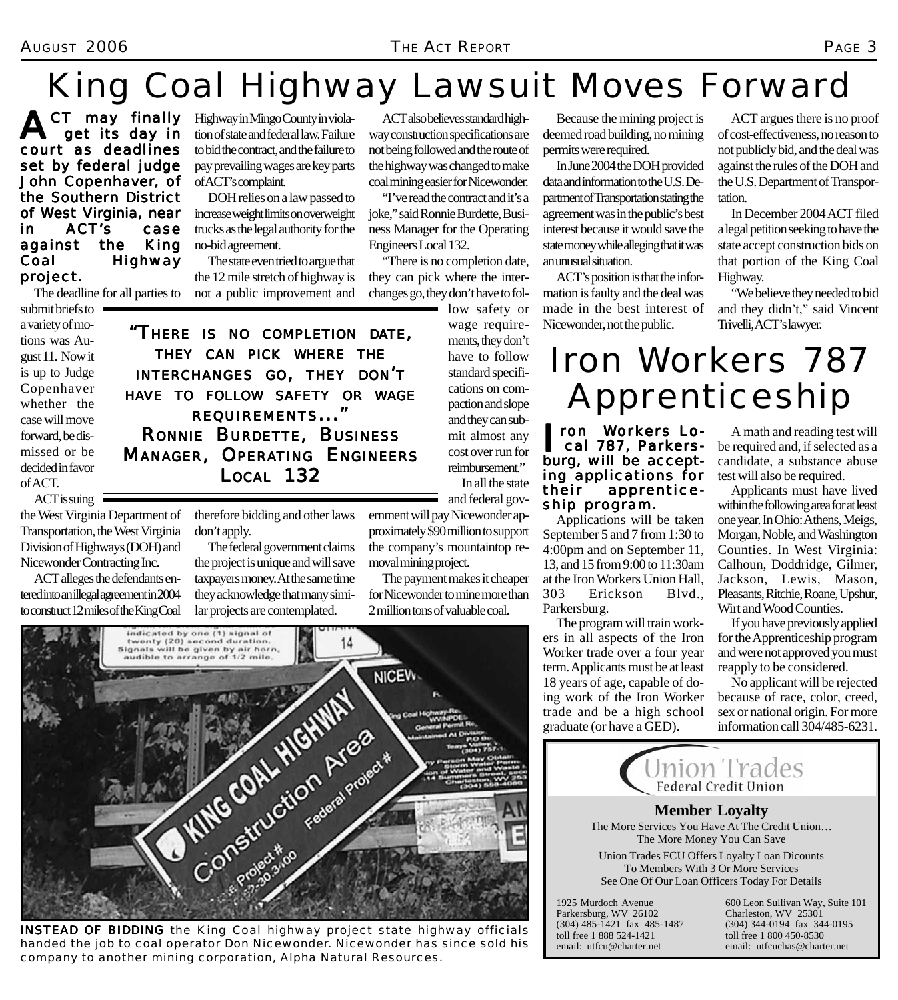### AUGUST 2006 *THE ACT REPORT* PAGE 3

# King Coal Highway Lawsuit Moves Forward

CT may finally get its day in court as deadlines set by federal judge John Copenhaver, of the Southern District of West Virginia, near in ACT's case against the King Coal Highway project.

The deadline for all parties to

Highway in Mingo County in violation of state and federal law. Failure to bid the contract, and the failure to pay prevailing wages are key parts of ACT's complaint.

DOH relies on a law passed to increase weight limits on overweight trucks as the legal authority for the no-bid agreement.

The state even tried to argue that the 12 mile stretch of highway is not a public improvement and

ACT also believes standard highway construction specifications are not being followed and the route of the highway was changed to make coal mining easier for Nicewonder.

"I've read the contract and it's a joke," said Ronnie Burdette, Business Manager for the Operating Engineers Local 132.

"There is no completion date, they can pick where the interchanges go, they don't have to fol-

> low safety or wage requirements, they don't have to follow standard specifications on compaction and slope and they can submit almost any cost over run for reimbursement." In all the state

> > and federal gov-

Because the mining project is deemed road building, no mining permits were required.

In June 2004 the DOH provided data and information to the U.S. Department of Transportation stating the agreement was in the public's best interest because it would save the state money while alleging that it was an unusual situation.

ACT's position is that the information is faulty and the deal was made in the best interest of Nicewonder, not the public.

ACT argues there is no proof of cost-effectiveness, no reason to not publicly bid, and the deal was against the rules of the DOH and the U.S. Department of Transportation.

In December 2004 ACT filed a legal petition seeking to have the state accept construction bids on that portion of the King Coal Highway.

"We believe they needed to bid and they didn't," said Vincent Trivelli, ACT's lawyer.

submit briefs to  $\blacksquare$ a variety of motions was August 11. Now it is up to Judge Copenhaver whether the case will move forward, be dismissed or be decided in favor of ACT. ACT is suing

*"THERE IS NO COMPLETION DATE, THEY CAN PICK WHERE THE INTERCHANGES GO, THEY DON'T HAVE TO FOLLOW SAFETY OR WAGE REQUIREMENTS..." RONNIE BURDETTE, BUSINESS MANAGER, OPERATING ENGINEERS LOCAL 132*

the West Virginia Department of Transportation, the West Virginia

Division of Highways (DOH) and Nicewonder Contracting Inc. ACT alleges the defendants entered into an illegal agreement in 2004

to construct 12 miles of the King Coal

therefore bidding and other laws don't apply.

> The federal government claims the project is unique and will save taxpayers money. At the same time they acknowledge that many similar projects are contemplated.

ernment will pay Nicewonder approximately \$90 million to support the company's mountaintop removal mining project.

The payment makes it cheaper for Nicewonder to mine more than 2 million tons of valuable coal.



**INSTEAD OF BIDDING** the King Coal highway project state highway officials *handed the job to coal operator Don Nicewonder. Nicewonder has since sold his company to another mining corporation, Alpha Natural Resources.*

Iron Workers 787 Apprenticeship

ron Workers Lo-<br>cal 787, Parkersburg, will be accepting applications for their apprenticeship program.

Applications will be taken September 5 and 7 from 1:30 to 4:00pm and on September 11, 13, and 15 from 9:00 to 11:30am at the Iron Workers Union Hall, 303 Erickson Blvd., Parkersburg.

The program will train workers in all aspects of the Iron Worker trade over a four year term. Applicants must be at least 18 years of age, capable of doing work of the Iron Worker trade and be a high school graduate (or have a GED).

email: utfcu@charter.net

A math and reading test will be required and, if selected as a candidate, a substance abuse test will also be required.

Applicants must have lived within the following area for at least one year. In Ohio: Athens, Meigs, Morgan, Noble, and Washington Counties. In West Virginia: Calhoun, Doddridge, Gilmer, Jackson, Lewis, Mason, Pleasants, Ritchie, Roane, Upshur, Wirt and Wood Counties.

If you have previously applied for the Apprenticeship program and were not approved you must reapply to be considered.

No applicant will be rejected because of race, color, creed, sex or national origin. For more information call 304/485-6231.

email: utfcuchas@charter.net